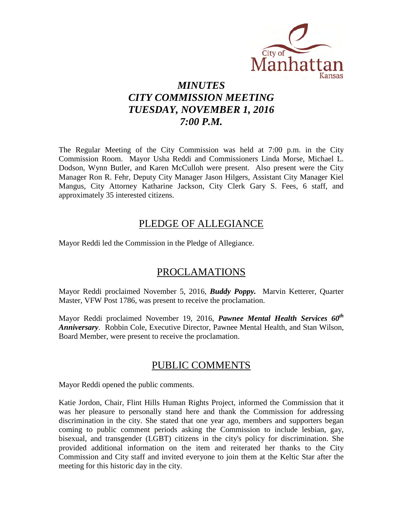

# *MINUTES CITY COMMISSION MEETING TUESDAY, NOVEMBER 1, 2016 7:00 P.M.*

The Regular Meeting of the City Commission was held at 7:00 p.m. in the City Commission Room. Mayor Usha Reddi and Commissioners Linda Morse, Michael L. Dodson, Wynn Butler, and Karen McCulloh were present. Also present were the City Manager Ron R. Fehr, Deputy City Manager Jason Hilgers, Assistant City Manager Kiel Mangus, City Attorney Katharine Jackson, City Clerk Gary S. Fees, 6 staff, and approximately 35 interested citizens.

# PLEDGE OF ALLEGIANCE

Mayor Reddi led the Commission in the Pledge of Allegiance.

# PROCLAMATIONS

Mayor Reddi proclaimed November 5, 2016, *Buddy Poppy.* Marvin Ketterer, Quarter Master, VFW Post 1786, was present to receive the proclamation.

Mayor Reddi proclaimed November 19, 2016, *Pawnee Mental Health Services 60th Anniversary*. Robbin Cole, Executive Director, Pawnee Mental Health, and Stan Wilson, Board Member, were present to receive the proclamation.

# PUBLIC COMMENTS

Mayor Reddi opened the public comments.

Katie Jordon, Chair, Flint Hills Human Rights Project, informed the Commission that it was her pleasure to personally stand here and thank the Commission for addressing discrimination in the city. She stated that one year ago, members and supporters began coming to public comment periods asking the Commission to include lesbian, gay, bisexual, and transgender (LGBT) citizens in the city's policy for discrimination. She provided additional information on the item and reiterated her thanks to the City Commission and City staff and invited everyone to join them at the Keltic Star after the meeting for this historic day in the city.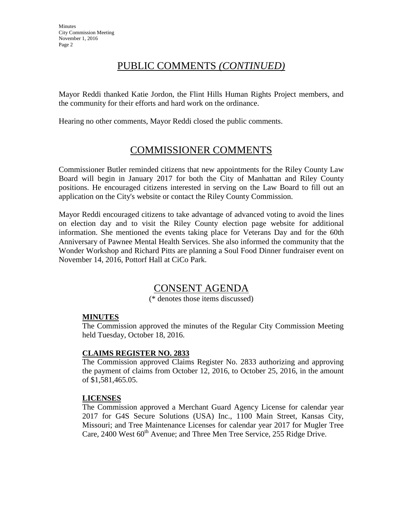# PUBLIC COMMENTS *(CONTINUED)*

Mayor Reddi thanked Katie Jordon, the Flint Hills Human Rights Project members, and the community for their efforts and hard work on the ordinance.

Hearing no other comments, Mayor Reddi closed the public comments.

# COMMISSIONER COMMENTS

Commissioner Butler reminded citizens that new appointments for the Riley County Law Board will begin in January 2017 for both the City of Manhattan and Riley County positions. He encouraged citizens interested in serving on the Law Board to fill out an application on the City's website or contact the Riley County Commission.

Mayor Reddi encouraged citizens to take advantage of advanced voting to avoid the lines on election day and to visit the Riley County election page website for additional information. She mentioned the events taking place for Veterans Day and for the 60th Anniversary of Pawnee Mental Health Services. She also informed the community that the Wonder Workshop and Richard Pitts are planning a Soul Food Dinner fundraiser event on November 14, 2016, Pottorf Hall at CiCo Park.

# CONSENT AGENDA

(\* denotes those items discussed)

## **MINUTES**

The Commission approved the minutes of the Regular City Commission Meeting held Tuesday, October 18, 2016.

## **CLAIMS REGISTER NO. 2833**

The Commission approved Claims Register No. 2833 authorizing and approving the payment of claims from October 12, 2016, to October 25, 2016, in the amount of \$1,581,465.05.

#### **LICENSES**

The Commission approved a Merchant Guard Agency License for calendar year 2017 for G4S Secure Solutions (USA) Inc., 1100 Main Street, Kansas City, Missouri; and Tree Maintenance Licenses for calendar year 2017 for Mugler Tree Care,  $2400$  West  $60<sup>th</sup>$  Avenue; and Three Men Tree Service, 255 Ridge Drive.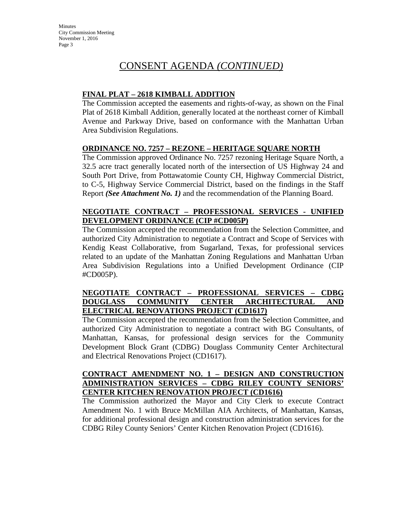# CONSENT AGENDA *(CONTINUED)*

## **FINAL PLAT – 2618 KIMBALL ADDITION**

The Commission accepted the easements and rights-of-way, as shown on the Final Plat of 2618 Kimball Addition, generally located at the northeast corner of Kimball Avenue and Parkway Drive, based on conformance with the Manhattan Urban Area Subdivision Regulations.

## **ORDINANCE NO. 7257 – REZONE – HERITAGE SQUARE NORTH**

The Commission approved Ordinance No. 7257 rezoning Heritage Square North, a 32.5 acre tract generally located north of the intersection of US Highway 24 and South Port Drive, from Pottawatomie County CH, Highway Commercial District, to C-5, Highway Service Commercial District, based on the findings in the Staff Report *(See Attachment No. 1)* and the recommendation of the Planning Board.

## **NEGOTIATE CONTRACT – PROFESSIONAL SERVICES - UNIFIED DEVELOPMENT ORDINANCE (CIP #CD005P)**

The Commission accepted the recommendation from the Selection Committee, and authorized City Administration to negotiate a Contract and Scope of Services with Kendig Keast Collaborative, from Sugarland, Texas, for professional services related to an update of the Manhattan Zoning Regulations and Manhattan Urban Area Subdivision Regulations into a Unified Development Ordinance (CIP #CD005P).

## **NEGOTIATE CONTRACT – PROFESSIONAL SERVICES – CDBG DOUGLASS COMMUNITY CENTER ARCHITECTURAL AND ELECTRICAL RENOVATIONS PROJECT (CD1617)**

The Commission accepted the recommendation from the Selection Committee, and authorized City Administration to negotiate a contract with BG Consultants, of Manhattan, Kansas, for professional design services for the Community Development Block Grant (CDBG) Douglass Community Center Architectural and Electrical Renovations Project (CD1617).

## **CONTRACT AMENDMENT NO. 1 – DESIGN AND CONSTRUCTION ADMINISTRATION SERVICES – CDBG RILEY COUNTY SENIORS' CENTER KITCHEN RENOVATION PROJECT (CD1616)**

The Commission authorized the Mayor and City Clerk to execute Contract Amendment No. 1 with Bruce McMillan AIA Architects, of Manhattan, Kansas, for additional professional design and construction administration services for the CDBG Riley County Seniors' Center Kitchen Renovation Project (CD1616).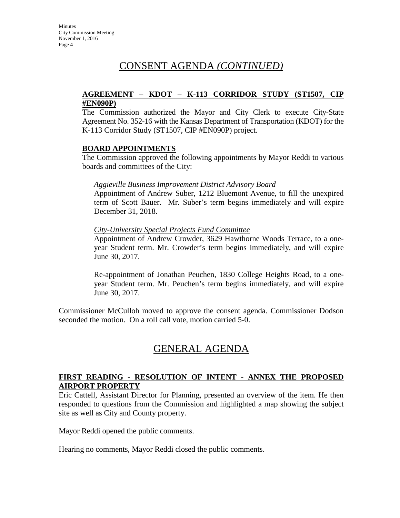# CONSENT AGENDA *(CONTINUED)*

#### **AGREEMENT – KDOT – K-113 CORRIDOR STUDY (ST1507, CIP #EN090P)**

The Commission authorized the Mayor and City Clerk to execute City-State Agreement No. 352-16 with the Kansas Department of Transportation (KDOT) for the K-113 Corridor Study (ST1507, CIP #EN090P) project.

## **BOARD APPOINTMENTS**

The Commission approved the following appointments by Mayor Reddi to various boards and committees of the City:

## *Aggieville Business Improvement District Advisory Board*

Appointment of Andrew Suber, 1212 Bluemont Avenue, to fill the unexpired term of Scott Bauer. Mr. Suber's term begins immediately and will expire December 31, 2018.

## *City-University Special Projects Fund Committee*

Appointment of Andrew Crowder, 3629 Hawthorne Woods Terrace, to a oneyear Student term. Mr. Crowder's term begins immediately, and will expire June 30, 2017.

Re-appointment of Jonathan Peuchen, 1830 College Heights Road, to a oneyear Student term. Mr. Peuchen's term begins immediately, and will expire June 30, 2017.

Commissioner McCulloh moved to approve the consent agenda. Commissioner Dodson seconded the motion. On a roll call vote, motion carried 5-0.

# GENERAL AGENDA

## **FIRST READING - RESOLUTION OF INTENT - ANNEX THE PROPOSED AIRPORT PROPERTY**

Eric Cattell, Assistant Director for Planning, presented an overview of the item. He then responded to questions from the Commission and highlighted a map showing the subject site as well as City and County property.

Mayor Reddi opened the public comments.

Hearing no comments, Mayor Reddi closed the public comments.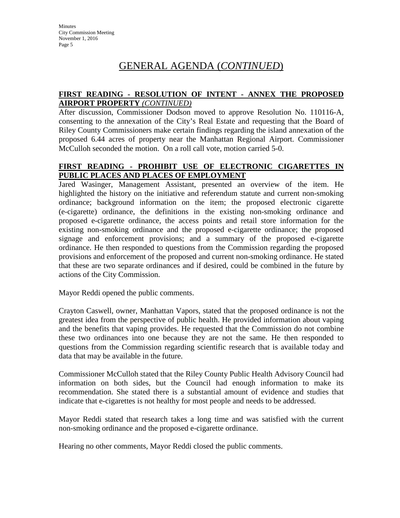# GENERAL AGENDA (*CONTINUED*)

## **FIRST READING - RESOLUTION OF INTENT - ANNEX THE PROPOSED AIRPORT PROPERTY** *(CONTINUED)*

After discussion, Commissioner Dodson moved to approve Resolution No. 110116-A, consenting to the annexation of the City's Real Estate and requesting that the Board of Riley County Commissioners make certain findings regarding the island annexation of the proposed 6.44 acres of property near the Manhattan Regional Airport. Commissioner McCulloh seconded the motion. On a roll call vote, motion carried 5-0.

## **FIRST READING - PROHIBIT USE OF ELECTRONIC CIGARETTES IN PUBLIC PLACES AND PLACES OF EMPLOYMENT**

Jared Wasinger, Management Assistant, presented an overview of the item. He highlighted the history on the initiative and referendum statute and current non-smoking ordinance; background information on the item; the proposed electronic cigarette (e-cigarette) ordinance, the definitions in the existing non-smoking ordinance and proposed e-cigarette ordinance, the access points and retail store information for the existing non-smoking ordinance and the proposed e-cigarette ordinance; the proposed signage and enforcement provisions; and a summary of the proposed e-cigarette ordinance. He then responded to questions from the Commission regarding the proposed provisions and enforcement of the proposed and current non-smoking ordinance. He stated that these are two separate ordinances and if desired, could be combined in the future by actions of the City Commission.

Mayor Reddi opened the public comments.

Crayton Caswell, owner, Manhattan Vapors, stated that the proposed ordinance is not the greatest idea from the perspective of public health. He provided information about vaping and the benefits that vaping provides. He requested that the Commission do not combine these two ordinances into one because they are not the same. He then responded to questions from the Commission regarding scientific research that is available today and data that may be available in the future.

Commissioner McCulloh stated that the Riley County Public Health Advisory Council had information on both sides, but the Council had enough information to make its recommendation. She stated there is a substantial amount of evidence and studies that indicate that e-cigarettes is not healthy for most people and needs to be addressed.

Mayor Reddi stated that research takes a long time and was satisfied with the current non-smoking ordinance and the proposed e-cigarette ordinance.

Hearing no other comments, Mayor Reddi closed the public comments.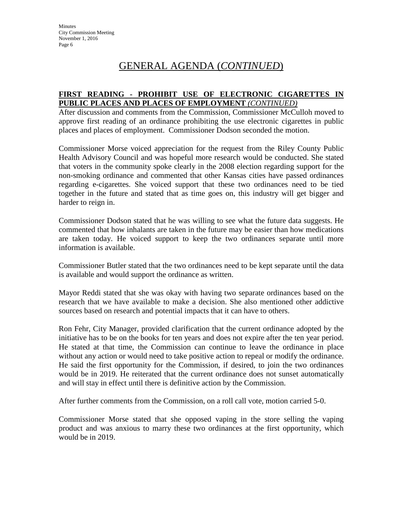# GENERAL AGENDA (*CONTINUED*)

## **FIRST READING - PROHIBIT USE OF ELECTRONIC CIGARETTES IN PUBLIC PLACES AND PLACES OF EMPLOYMENT** *(CONTINUED)*

After discussion and comments from the Commission, Commissioner McCulloh moved to approve first reading of an ordinance prohibiting the use electronic cigarettes in public places and places of employment. Commissioner Dodson seconded the motion.

Commissioner Morse voiced appreciation for the request from the Riley County Public Health Advisory Council and was hopeful more research would be conducted. She stated that voters in the community spoke clearly in the 2008 election regarding support for the non-smoking ordinance and commented that other Kansas cities have passed ordinances regarding e-cigarettes. She voiced support that these two ordinances need to be tied together in the future and stated that as time goes on, this industry will get bigger and harder to reign in.

Commissioner Dodson stated that he was willing to see what the future data suggests. He commented that how inhalants are taken in the future may be easier than how medications are taken today. He voiced support to keep the two ordinances separate until more information is available.

Commissioner Butler stated that the two ordinances need to be kept separate until the data is available and would support the ordinance as written.

Mayor Reddi stated that she was okay with having two separate ordinances based on the research that we have available to make a decision. She also mentioned other addictive sources based on research and potential impacts that it can have to others.

Ron Fehr, City Manager, provided clarification that the current ordinance adopted by the initiative has to be on the books for ten years and does not expire after the ten year period. He stated at that time, the Commission can continue to leave the ordinance in place without any action or would need to take positive action to repeal or modify the ordinance. He said the first opportunity for the Commission, if desired, to join the two ordinances would be in 2019. He reiterated that the current ordinance does not sunset automatically and will stay in effect until there is definitive action by the Commission.

After further comments from the Commission, on a roll call vote, motion carried 5-0.

Commissioner Morse stated that she opposed vaping in the store selling the vaping product and was anxious to marry these two ordinances at the first opportunity, which would be in 2019.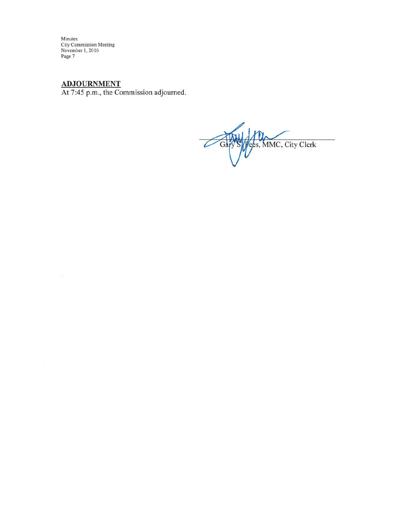Minutes<br>City Commission Meeting<br>November 1, 2016<br>Page 7

ADJOURNMENT<br>At 7:45 p.m., the Commission adjourned.

 $\overline{\mathcal{C}}$ ees, MMC, City Clerk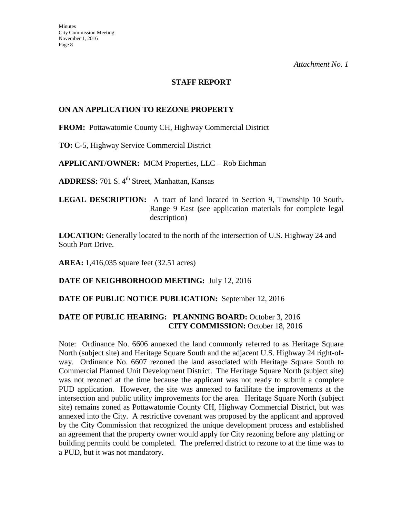## **STAFF REPORT**

## **ON AN APPLICATION TO REZONE PROPERTY**

**FROM:** Pottawatomie County CH, Highway Commercial District

**TO:** C-5, Highway Service Commercial District

**APPLICANT/OWNER:** MCM Properties, LLC – Rob Eichman

**ADDRESS:** 701 S. 4<sup>th</sup> Street, Manhattan, Kansas

**LEGAL DESCRIPTION:** A tract of land located in Section 9, Township 10 South, Range 9 East (see application materials for complete legal description)

**LOCATION:** Generally located to the north of the intersection of U.S. Highway 24 and South Port Drive.

**AREA:** 1,416,035 square feet (32.51 acres)

**DATE OF NEIGHBORHOOD MEETING:** July 12, 2016

#### **DATE OF PUBLIC NOTICE PUBLICATION:** September 12, 2016

## **DATE OF PUBLIC HEARING: PLANNING BOARD:** October 3, 2016 **CITY COMMISSION:** October 18, 2016

Note: Ordinance No. 6606 annexed the land commonly referred to as Heritage Square North (subject site) and Heritage Square South and the adjacent U.S. Highway 24 right-ofway. Ordinance No. 6607 rezoned the land associated with Heritage Square South to Commercial Planned Unit Development District. The Heritage Square North (subject site) was not rezoned at the time because the applicant was not ready to submit a complete PUD application. However, the site was annexed to facilitate the improvements at the intersection and public utility improvements for the area. Heritage Square North (subject site) remains zoned as Pottawatomie County CH, Highway Commercial District, but was annexed into the City. A restrictive covenant was proposed by the applicant and approved by the City Commission that recognized the unique development process and established an agreement that the property owner would apply for City rezoning before any platting or building permits could be completed. The preferred district to rezone to at the time was to a PUD, but it was not mandatory.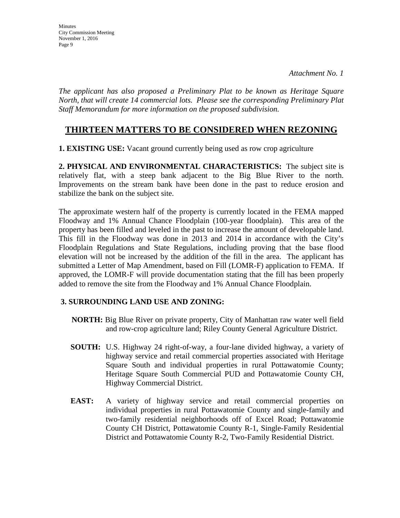*The applicant has also proposed a Preliminary Plat to be known as Heritage Square North, that will create 14 commercial lots. Please see the corresponding Preliminary Plat Staff Memorandum for more information on the proposed subdivision.* 

## **THIRTEEN MATTERS TO BE CONSIDERED WHEN REZONING**

**1. EXISTING USE:** Vacant ground currently being used as row crop agriculture

**2. PHYSICAL AND ENVIRONMENTAL CHARACTERISTICS:** The subject site is relatively flat, with a steep bank adjacent to the Big Blue River to the north. Improvements on the stream bank have been done in the past to reduce erosion and stabilize the bank on the subject site.

The approximate western half of the property is currently located in the FEMA mapped Floodway and 1% Annual Chance Floodplain (100-year floodplain). This area of the property has been filled and leveled in the past to increase the amount of developable land. This fill in the Floodway was done in 2013 and 2014 in accordance with the City's Floodplain Regulations and State Regulations, including proving that the base flood elevation will not be increased by the addition of the fill in the area. The applicant has submitted a Letter of Map Amendment, based on Fill (LOMR-F) application to FEMA. If approved, the LOMR-F will provide documentation stating that the fill has been properly added to remove the site from the Floodway and 1% Annual Chance Floodplain.

## **3. SURROUNDING LAND USE AND ZONING:**

- **NORTH:** Big Blue River on private property, City of Manhattan raw water well field and row-crop agriculture land; Riley County General Agriculture District.
- **SOUTH:** U.S. Highway 24 right-of-way, a four-lane divided highway, a variety of highway service and retail commercial properties associated with Heritage Square South and individual properties in rural Pottawatomie County; Heritage Square South Commercial PUD and Pottawatomie County CH, Highway Commercial District.
- **EAST:** A variety of highway service and retail commercial properties on individual properties in rural Pottawatomie County and single-family and two-family residential neighborhoods off of Excel Road; Pottawatomie County CH District, Pottawatomie County R-1, Single-Family Residential District and Pottawatomie County R-2, Two-Family Residential District.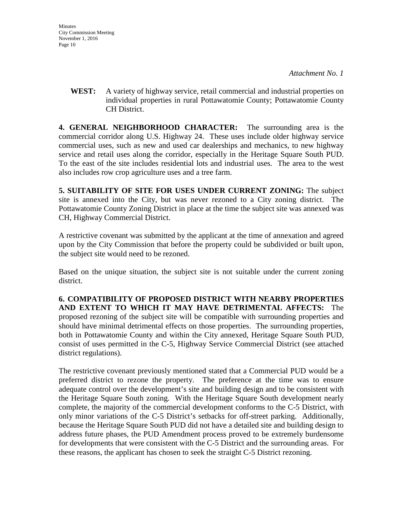**WEST:** A variety of highway service, retail commercial and industrial properties on individual properties in rural Pottawatomie County; Pottawatomie County CH District.

**4. GENERAL NEIGHBORHOOD CHARACTER:** The surrounding area is the commercial corridor along U.S. Highway 24. These uses include older highway service commercial uses, such as new and used car dealerships and mechanics, to new highway service and retail uses along the corridor, especially in the Heritage Square South PUD. To the east of the site includes residential lots and industrial uses. The area to the west also includes row crop agriculture uses and a tree farm.

**5. SUITABILITY OF SITE FOR USES UNDER CURRENT ZONING:** The subject site is annexed into the City, but was never rezoned to a City zoning district. The Pottawatomie County Zoning District in place at the time the subject site was annexed was CH, Highway Commercial District.

A restrictive covenant was submitted by the applicant at the time of annexation and agreed upon by the City Commission that before the property could be subdivided or built upon, the subject site would need to be rezoned.

Based on the unique situation, the subject site is not suitable under the current zoning district.

**6. COMPATIBILITY OF PROPOSED DISTRICT WITH NEARBY PROPERTIES AND EXTENT TO WHICH IT MAY HAVE DETRIMENTAL AFFECTS:** The proposed rezoning of the subject site will be compatible with surrounding properties and should have minimal detrimental effects on those properties. The surrounding properties, both in Pottawatomie County and within the City annexed, Heritage Square South PUD, consist of uses permitted in the C-5, Highway Service Commercial District (see attached district regulations).

The restrictive covenant previously mentioned stated that a Commercial PUD would be a preferred district to rezone the property. The preference at the time was to ensure adequate control over the development's site and building design and to be consistent with the Heritage Square South zoning. With the Heritage Square South development nearly complete, the majority of the commercial development conforms to the C-5 District, with only minor variations of the C-5 District's setbacks for off-street parking. Additionally, because the Heritage Square South PUD did not have a detailed site and building design to address future phases, the PUD Amendment process proved to be extremely burdensome for developments that were consistent with the C-5 District and the surrounding areas. For these reasons, the applicant has chosen to seek the straight C-5 District rezoning.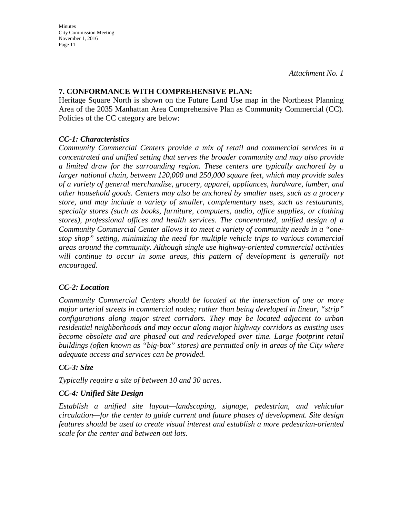## **7. CONFORMANCE WITH COMPREHENSIVE PLAN:**

Heritage Square North is shown on the Future Land Use map in the Northeast Planning Area of the 2035 Manhattan Area Comprehensive Plan as Community Commercial (CC). Policies of the CC category are below:

## *CC-1: Characteristics*

*Community Commercial Centers provide a mix of retail and commercial services in a concentrated and unified setting that serves the broader community and may also provide a limited draw for the surrounding region. These centers are typically anchored by a larger national chain, between 120,000 and 250,000 square feet, which may provide sales of a variety of general merchandise, grocery, apparel, appliances, hardware, lumber, and other household goods. Centers may also be anchored by smaller uses, such as a grocery store, and may include a variety of smaller, complementary uses, such as restaurants, specialty stores (such as books, furniture, computers, audio, office supplies, or clothing stores), professional offices and health services. The concentrated, unified design of a Community Commercial Center allows it to meet a variety of community needs in a "onestop shop" setting, minimizing the need for multiple vehicle trips to various commercial areas around the community. Although single use highway-oriented commercial activities*  will continue to occur in some areas, this pattern of development is generally not *encouraged.* 

## *CC-2: Location*

*Community Commercial Centers should be located at the intersection of one or more major arterial streets in commercial nodes; rather than being developed in linear, "strip" configurations along major street corridors. They may be located adjacent to urban residential neighborhoods and may occur along major highway corridors as existing uses become obsolete and are phased out and redeveloped over time. Large footprint retail buildings (often known as "big-box" stores) are permitted only in areas of the City where adequate access and services can be provided.* 

## *CC-3: Size*

*Typically require a site of between 10 and 30 acres.* 

## *CC-4: Unified Site Design*

*Establish a unified site layout—landscaping, signage, pedestrian, and vehicular circulation—for the center to guide current and future phases of development. Site design features should be used to create visual interest and establish a more pedestrian-oriented scale for the center and between out lots.*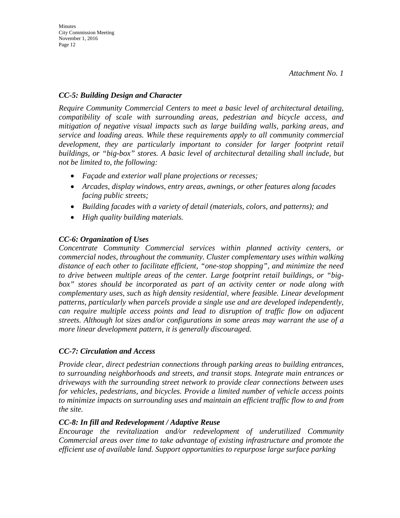## *CC-5: Building Design and Character*

*Require Community Commercial Centers to meet a basic level of architectural detailing, compatibility of scale with surrounding areas, pedestrian and bicycle access, and mitigation of negative visual impacts such as large building walls, parking areas, and service and loading areas. While these requirements apply to all community commercial development, they are particularly important to consider for larger footprint retail buildings, or "big-box" stores. A basic level of architectural detailing shall include, but not be limited to, the following:* 

- *Façade and exterior wall plane projections or recesses;*
- *Arcades, display windows, entry areas, awnings, or other features along facades facing public streets;*
- *Building facades with a variety of detail (materials, colors, and patterns); and*
- *High quality building materials.*

## *CC-6: Organization of Uses*

*Concentrate Community Commercial services within planned activity centers, or commercial nodes, throughout the community. Cluster complementary uses within walking distance of each other to facilitate efficient, "one-stop shopping", and minimize the need to drive between multiple areas of the center. Large footprint retail buildings, or "bigbox" stores should be incorporated as part of an activity center or node along with complementary uses, such as high density residential, where feasible. Linear development patterns, particularly when parcels provide a single use and are developed independently, can require multiple access points and lead to disruption of traffic flow on adjacent streets. Although lot sizes and/or configurations in some areas may warrant the use of a more linear development pattern, it is generally discouraged.* 

## *CC-7: Circulation and Access*

*Provide clear, direct pedestrian connections through parking areas to building entrances, to surrounding neighborhoods and streets, and transit stops. Integrate main entrances or driveways with the surrounding street network to provide clear connections between uses for vehicles, pedestrians, and bicycles. Provide a limited number of vehicle access points to minimize impacts on surrounding uses and maintain an efficient traffic flow to and from the site.* 

## *CC-8: In fill and Redevelopment / Adaptive Reuse*

*Encourage the revitalization and/or redevelopment of underutilized Community Commercial areas over time to take advantage of existing infrastructure and promote the efficient use of available land. Support opportunities to repurpose large surface parking*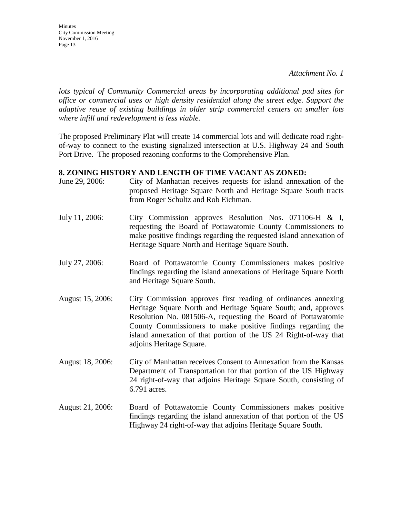**Minutes** City Commission Meeting November 1, 2016 Page 13

*lots typical of Community Commercial areas by incorporating additional pad sites for office or commercial uses or high density residential along the street edge. Support the adaptive reuse of existing buildings in older strip commercial centers on smaller lots where infill and redevelopment is less viable.*

The proposed Preliminary Plat will create 14 commercial lots and will dedicate road rightof-way to connect to the existing signalized intersection at U.S. Highway 24 and South Port Drive. The proposed rezoning conforms to the Comprehensive Plan.

#### **8. ZONING HISTORY AND LENGTH OF TIME VACANT AS ZONED:**

- June 29, 2006: City of Manhattan receives requests for island annexation of the proposed Heritage Square North and Heritage Square South tracts from Roger Schultz and Rob Eichman.
- July 11, 2006: City Commission approves Resolution Nos. 071106-H & I, requesting the Board of Pottawatomie County Commissioners to make positive findings regarding the requested island annexation of Heritage Square North and Heritage Square South.
- July 27, 2006: Board of Pottawatomie County Commissioners makes positive findings regarding the island annexations of Heritage Square North and Heritage Square South.
- August 15, 2006: City Commission approves first reading of ordinances annexing Heritage Square North and Heritage Square South; and, approves Resolution No. 081506-A, requesting the Board of Pottawatomie County Commissioners to make positive findings regarding the island annexation of that portion of the US 24 Right-of-way that adjoins Heritage Square.
- August 18, 2006: City of Manhattan receives Consent to Annexation from the Kansas Department of Transportation for that portion of the US Highway 24 right-of-way that adjoins Heritage Square South, consisting of 6.791 acres.
- August 21, 2006: Board of Pottawatomie County Commissioners makes positive findings regarding the island annexation of that portion of the US Highway 24 right-of-way that adjoins Heritage Square South.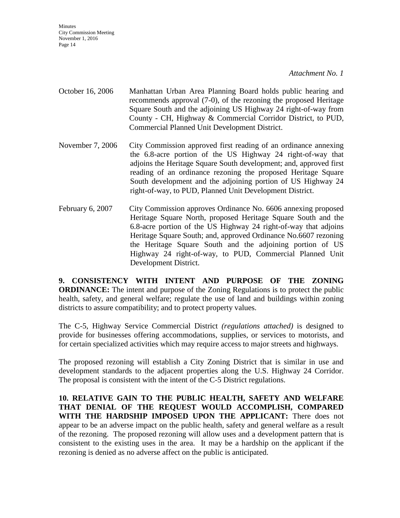*Attachment No. 1* 

- October 16, 2006 Manhattan Urban Area Planning Board holds public hearing and recommends approval (7-0), of the rezoning the proposed Heritage Square South and the adjoining US Highway 24 right-of-way from County - CH, Highway & Commercial Corridor District, to PUD, Commercial Planned Unit Development District.
- November 7, 2006 City Commission approved first reading of an ordinance annexing the 6.8-acre portion of the US Highway 24 right-of-way that adjoins the Heritage Square South development; and, approved first reading of an ordinance rezoning the proposed Heritage Square South development and the adjoining portion of US Highway 24 right-of-way, to PUD, Planned Unit Development District.
- February 6, 2007 City Commission approves Ordinance No. 6606 annexing proposed Heritage Square North, proposed Heritage Square South and the 6.8-acre portion of the US Highway 24 right-of-way that adjoins Heritage Square South; and, approved Ordinance No.6607 rezoning the Heritage Square South and the adjoining portion of US Highway 24 right-of-way, to PUD, Commercial Planned Unit Development District.

**9. CONSISTENCY WITH INTENT AND PURPOSE OF THE ZONING ORDINANCE:** The intent and purpose of the Zoning Regulations is to protect the public health, safety, and general welfare; regulate the use of land and buildings within zoning districts to assure compatibility; and to protect property values.

The C-5, Highway Service Commercial District *(regulations attached)* is designed to provide for businesses offering accommodations, supplies, or services to motorists, and for certain specialized activities which may require access to major streets and highways.

The proposed rezoning will establish a City Zoning District that is similar in use and development standards to the adjacent properties along the U.S. Highway 24 Corridor. The proposal is consistent with the intent of the C-5 District regulations.

**10. RELATIVE GAIN TO THE PUBLIC HEALTH, SAFETY AND WELFARE THAT DENIAL OF THE REQUEST WOULD ACCOMPLISH, COMPARED WITH THE HARDSHIP IMPOSED UPON THE APPLICANT:** There does not appear to be an adverse impact on the public health, safety and general welfare as a result of the rezoning. The proposed rezoning will allow uses and a development pattern that is consistent to the existing uses in the area. It may be a hardship on the applicant if the rezoning is denied as no adverse affect on the public is anticipated.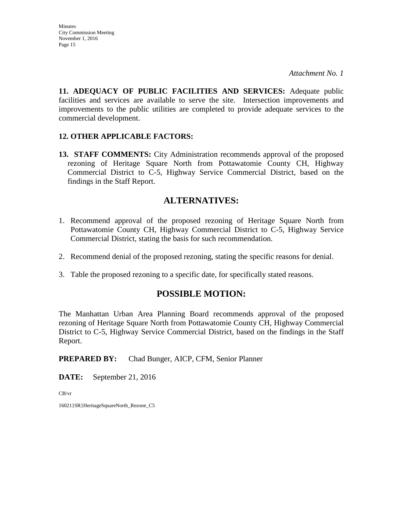**11. ADEQUACY OF PUBLIC FACILITIES AND SERVICES:** Adequate public facilities and services are available to serve the site. Intersection improvements and improvements to the public utilities are completed to provide adequate services to the commercial development.

## **12. OTHER APPLICABLE FACTORS:**

**13. STAFF COMMENTS:** City Administration recommends approval of the proposed rezoning of Heritage Square North from Pottawatomie County CH, Highway Commercial District to C-5, Highway Service Commercial District, based on the findings in the Staff Report.

## **ALTERNATIVES:**

- 1. Recommend approval of the proposed rezoning of Heritage Square North from Pottawatomie County CH, Highway Commercial District to C-5, Highway Service Commercial District, stating the basis for such recommendation.
- 2. Recommend denial of the proposed rezoning, stating the specific reasons for denial.
- 3. Table the proposed rezoning to a specific date, for specifically stated reasons.

## **POSSIBLE MOTION:**

The Manhattan Urban Area Planning Board recommends approval of the proposed rezoning of Heritage Square North from Pottawatomie County CH, Highway Commercial District to C-5, Highway Service Commercial District, based on the findings in the Staff Report.

**PREPARED BY:** Chad Bunger, AICP, CFM, Senior Planner

**DATE:** September 21, 2016

CB/vr

16021}SR}HeritageSquareNorth\_Rezone\_C5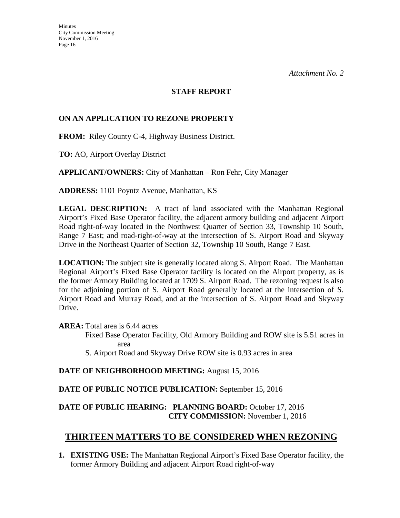#### **STAFF REPORT**

## **ON AN APPLICATION TO REZONE PROPERTY**

**FROM:** Riley County C-4, Highway Business District.

**TO:** AO, Airport Overlay District

**APPLICANT/OWNERS:** City of Manhattan – Ron Fehr, City Manager

**ADDRESS:** 1101 Poyntz Avenue, Manhattan, KS

**LEGAL DESCRIPTION:** A tract of land associated with the Manhattan Regional Airport's Fixed Base Operator facility, the adjacent armory building and adjacent Airport Road right-of-way located in the Northwest Quarter of Section 33, Township 10 South, Range 7 East; and road-right-of-way at the intersection of S. Airport Road and Skyway Drive in the Northeast Quarter of Section 32, Township 10 South, Range 7 East.

**LOCATION:** The subject site is generally located along S. Airport Road. The Manhattan Regional Airport's Fixed Base Operator facility is located on the Airport property, as is the former Armory Building located at 1709 S. Airport Road. The rezoning request is also for the adjoining portion of S. Airport Road generally located at the intersection of S. Airport Road and Murray Road, and at the intersection of S. Airport Road and Skyway Drive.

**AREA:** Total area is 6.44 acres

Fixed Base Operator Facility, Old Armory Building and ROW site is 5.51 acres in area

S. Airport Road and Skyway Drive ROW site is 0.93 acres in area

## **DATE OF NEIGHBORHOOD MEETING:** August 15, 2016

## **DATE OF PUBLIC NOTICE PUBLICATION:** September 15, 2016

## **DATE OF PUBLIC HEARING: PLANNING BOARD:** October 17, 2016 **CITY COMMISSION:** November 1, 2016

# **THIRTEEN MATTERS TO BE CONSIDERED WHEN REZONING**

**1. EXISTING USE:** The Manhattan Regional Airport's Fixed Base Operator facility, the former Armory Building and adjacent Airport Road right-of-way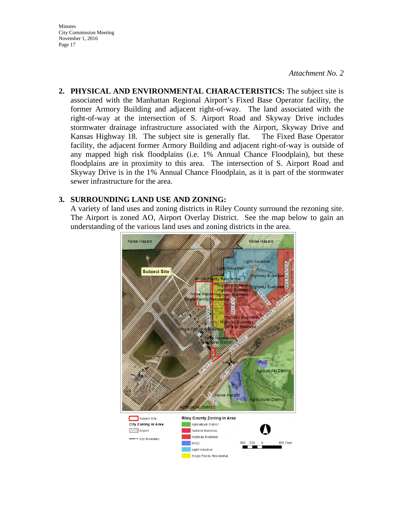#### *Attachment No. 2*

**2. PHYSICAL AND ENVIRONMENTAL CHARACTERISTICS:** The subject site is associated with the Manhattan Regional Airport's Fixed Base Operator facility, the former Armory Building and adjacent right-of-way. The land associated with the right-of-way at the intersection of S. Airport Road and Skyway Drive includes stormwater drainage infrastructure associated with the Airport, Skyway Drive and Kansas Highway 18. The subject site is generally flat. The Fixed Base Operator facility, the adjacent former Armory Building and adjacent right-of-way is outside of any mapped high risk floodplains (i.e. 1% Annual Chance Floodplain), but these floodplains are in proximity to this area. The intersection of S. Airport Road and Skyway Drive is in the 1% Annual Chance Floodplain, as it is part of the stormwater sewer infrastructure for the area.

#### **3. SURROUNDING LAND USE AND ZONING:**

A variety of land uses and zoning districts in Riley County surround the rezoning site. The Airport is zoned AO, Airport Overlay District. See the map below to gain an understanding of the various land uses and zoning districts in the area.

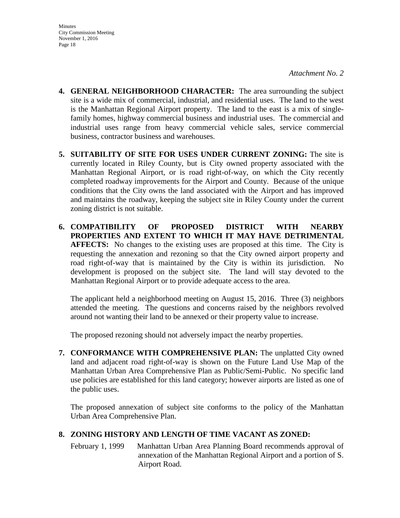- **4. GENERAL NEIGHBORHOOD CHARACTER:** The area surrounding the subject site is a wide mix of commercial, industrial, and residential uses. The land to the west is the Manhattan Regional Airport property. The land to the east is a mix of singlefamily homes, highway commercial business and industrial uses. The commercial and industrial uses range from heavy commercial vehicle sales, service commercial business, contractor business and warehouses.
- **5. SUITABILITY OF SITE FOR USES UNDER CURRENT ZONING:** The site is currently located in Riley County, but is City owned property associated with the Manhattan Regional Airport, or is road right-of-way, on which the City recently completed roadway improvements for the Airport and County. Because of the unique conditions that the City owns the land associated with the Airport and has improved and maintains the roadway, keeping the subject site in Riley County under the current zoning district is not suitable.
- **6. COMPATIBILITY OF PROPOSED DISTRICT WITH NEARBY PROPERTIES AND EXTENT TO WHICH IT MAY HAVE DETRIMENTAL AFFECTS:** No changes to the existing uses are proposed at this time. The City is requesting the annexation and rezoning so that the City owned airport property and road right-of-way that is maintained by the City is within its jurisdiction. No development is proposed on the subject site. The land will stay devoted to the Manhattan Regional Airport or to provide adequate access to the area.

The applicant held a neighborhood meeting on August 15, 2016. Three (3) neighbors attended the meeting. The questions and concerns raised by the neighbors revolved around not wanting their land to be annexed or their property value to increase.

The proposed rezoning should not adversely impact the nearby properties.

**7. CONFORMANCE WITH COMPREHENSIVE PLAN:** The unplatted City owned land and adjacent road right-of-way is shown on the Future Land Use Map of the Manhattan Urban Area Comprehensive Plan as Public/Semi-Public. No specific land use policies are established for this land category; however airports are listed as one of the public uses.

The proposed annexation of subject site conforms to the policy of the Manhattan Urban Area Comprehensive Plan.

## **8. ZONING HISTORY AND LENGTH OF TIME VACANT AS ZONED:**

February 1, 1999 Manhattan Urban Area Planning Board recommends approval of annexation of the Manhattan Regional Airport and a portion of S. Airport Road.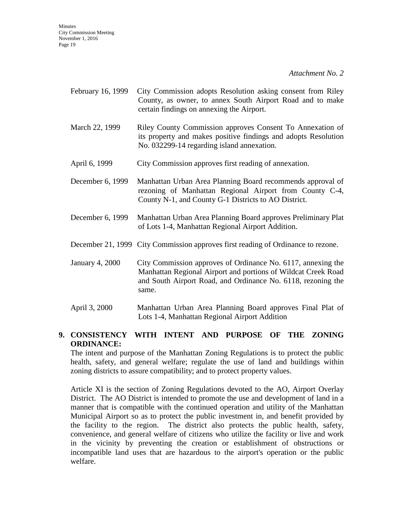*Attachment No. 2* 

- February 16, 1999 City Commission adopts Resolution asking consent from Riley County, as owner, to annex South Airport Road and to make certain findings on annexing the Airport.
- March 22, 1999 Riley County Commission approves Consent To Annexation of its property and makes positive findings and adopts Resolution No. 032299-14 regarding island annexation.
- April 6, 1999 City Commission approves first reading of annexation.
- December 6, 1999 Manhattan Urban Area Planning Board recommends approval of rezoning of Manhattan Regional Airport from County C-4, County N-1, and County G-1 Districts to AO District.
- December 6, 1999 Manhattan Urban Area Planning Board approves Preliminary Plat of Lots 1-4, Manhattan Regional Airport Addition.
- December 21, 1999 City Commission approves first reading of Ordinance to rezone.
- January 4, 2000 City Commission approves of Ordinance No. 6117, annexing the Manhattan Regional Airport and portions of Wildcat Creek Road and South Airport Road, and Ordinance No. 6118, rezoning the same.
- April 3, 2000 Manhattan Urban Area Planning Board approves Final Plat of Lots 1-4, Manhattan Regional Airport Addition

## **9. CONSISTENCY WITH INTENT AND PURPOSE OF THE ZONING ORDINANCE:**

The intent and purpose of the Manhattan Zoning Regulations is to protect the public health, safety, and general welfare; regulate the use of land and buildings within zoning districts to assure compatibility; and to protect property values.

Article XI is the section of Zoning Regulations devoted to the AO, Airport Overlay District. The AO District is intended to promote the use and development of land in a manner that is compatible with the continued operation and utility of the Manhattan Municipal Airport so as to protect the public investment in, and benefit provided by the facility to the region. The district also protects the public health, safety, convenience, and general welfare of citizens who utilize the facility or live and work in the vicinity by preventing the creation or establishment of obstructions or incompatible land uses that are hazardous to the airport's operation or the public welfare.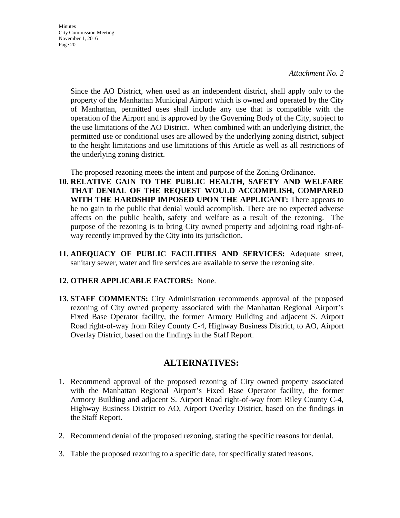*Attachment No. 2* 

Since the AO District, when used as an independent district, shall apply only to the property of the Manhattan Municipal Airport which is owned and operated by the City of Manhattan, permitted uses shall include any use that is compatible with the operation of the Airport and is approved by the Governing Body of the City, subject to the use limitations of the AO District. When combined with an underlying district, the permitted use or conditional uses are allowed by the underlying zoning district, subject to the height limitations and use limitations of this Article as well as all restrictions of the underlying zoning district.

The proposed rezoning meets the intent and purpose of the Zoning Ordinance.

- **10. RELATIVE GAIN TO THE PUBLIC HEALTH, SAFETY AND WELFARE THAT DENIAL OF THE REQUEST WOULD ACCOMPLISH, COMPARED WITH THE HARDSHIP IMPOSED UPON THE APPLICANT:** There appears to be no gain to the public that denial would accomplish. There are no expected adverse affects on the public health, safety and welfare as a result of the rezoning. The purpose of the rezoning is to bring City owned property and adjoining road right-ofway recently improved by the City into its jurisdiction.
- **11. ADEQUACY OF PUBLIC FACILITIES AND SERVICES:** Adequate street, sanitary sewer, water and fire services are available to serve the rezoning site.

## **12. OTHER APPLICABLE FACTORS:** None.

**13. STAFF COMMENTS:** City Administration recommends approval of the proposed rezoning of City owned property associated with the Manhattan Regional Airport's Fixed Base Operator facility, the former Armory Building and adjacent S. Airport Road right-of-way from Riley County C-4, Highway Business District, to AO, Airport Overlay District, based on the findings in the Staff Report.

## **ALTERNATIVES:**

- 1. Recommend approval of the proposed rezoning of City owned property associated with the Manhattan Regional Airport's Fixed Base Operator facility, the former Armory Building and adjacent S. Airport Road right-of-way from Riley County C-4, Highway Business District to AO, Airport Overlay District, based on the findings in the Staff Report.
- 2. Recommend denial of the proposed rezoning, stating the specific reasons for denial.
- 3. Table the proposed rezoning to a specific date, for specifically stated reasons.